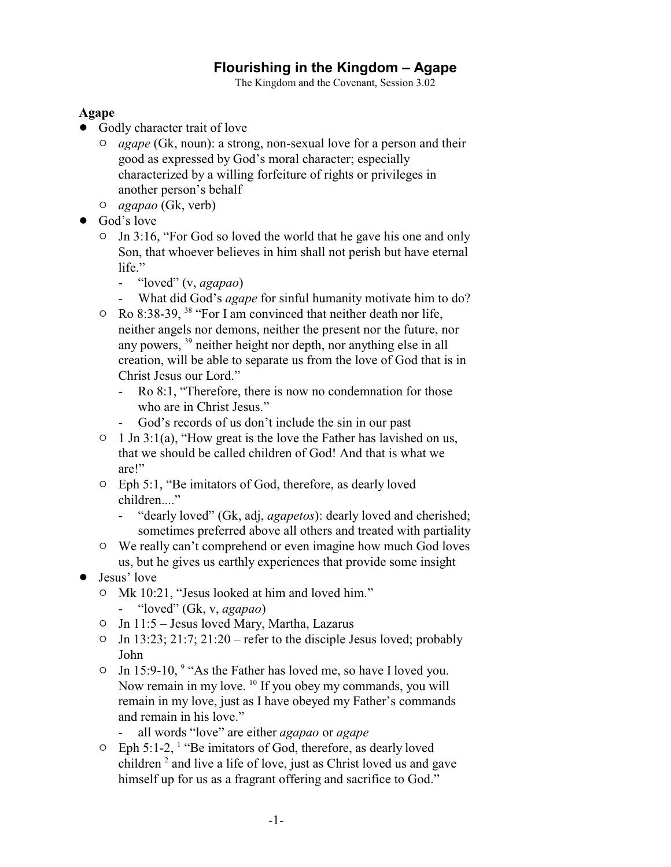## **Flourishing in the Kingdom – Agape**

The Kingdom and the Covenant, Session 3.02

## **Agape**

- Godly character trait of love
	- " *agape* (Gk, noun): a strong, non-sexual love for a person and their good as expressed by God's moral character; especially characterized by a willing forfeiture of rights or privileges in another person's behalf
	- " *agapao* (Gk, verb)
- God's love
	- $\circ$  Jn 3:16, "For God so loved the world that he gave his one and only Son, that whoever believes in him shall not perish but have eternal life."
		- "loved" (v, *agapao*)
		- What did God's *agape* for sinful humanity motivate him to do?
	- $\circ$  Ro 8:38-39, <sup>38</sup> "For I am convinced that neither death nor life, neither angels nor demons, neither the present nor the future, nor any powers, <sup>39</sup> neither height nor depth, nor anything else in all creation, will be able to separate us from the love of God that is in Christ Jesus our Lord."
		- Ro 8:1, "Therefore, there is now no condemnation for those who are in Christ Jesus."
		- God's records of us don't include the sin in our past
	- $\circ$  1 Jn 3:1(a), "How great is the love the Father has lavished on us, that we should be called children of God! And that is what we are!"
	- " Eph 5:1, "Be imitators of God, therefore, as dearly loved children...."
		- "dearly loved" (Gk, adj, *agapetos*): dearly loved and cherished; sometimes preferred above all others and treated with partiality
	- $\circ$  We really can't comprehend or even imagine how much God loves us, but he gives us earthly experiences that provide some insight
- Jesus' love
	- <sup>o</sup> Mk 10:21, "Jesus looked at him and loved him."
		- "loved" (Gk, v, *agapao*)
	- " Jn 11:5 Jesus loved Mary, Martha, Lazarus
	- $\circ$  Jn 13:23; 21:7; 21:20 refer to the disciple Jesus loved; probably John
	- $\circ$  Jn 15:9-10, <sup>9</sup> "As the Father has loved me, so have I loved you. Now remain in my love. <sup>10</sup> If you obey my commands, you will remain in my love, just as I have obeyed my Father's commands and remain in his love."
		- all words "love" are either *agapao* or *agape*
	- $\circ$  Eph 5:1-2, <sup>1</sup> "Be imitators of God, therefore, as dearly loved children<sup>2</sup> and live a life of love, just as Christ loved us and gave himself up for us as a fragrant offering and sacrifice to God."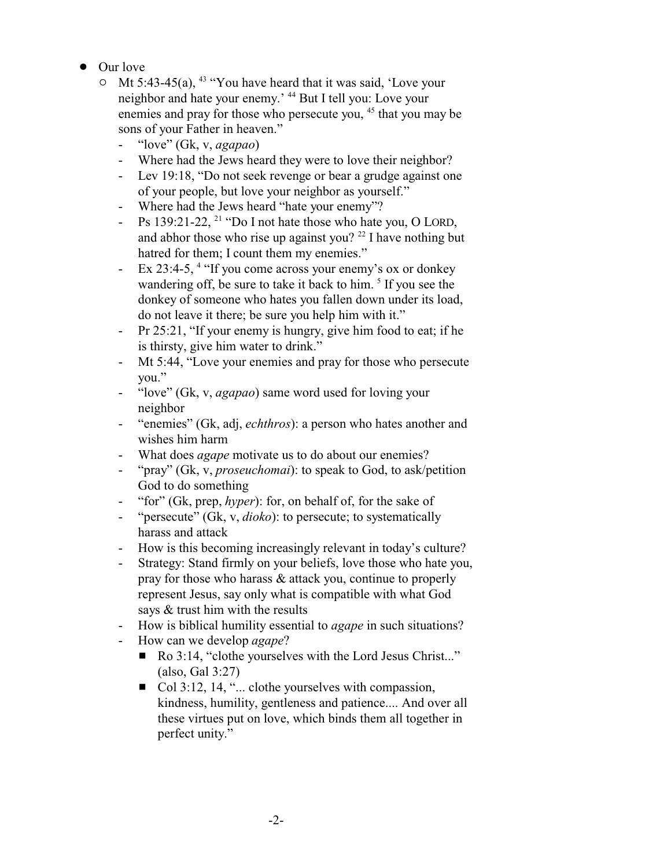- Our love
	- $\circ$  Mt 5:43-45(a), <sup>43</sup> "You have heard that it was said, 'Love your neighbor and hate your enemy.' <sup>44</sup> But I tell you: Love your enemies and pray for those who persecute you, <sup>45</sup> that you may be sons of your Father in heaven."
		- "love" (Gk, v, *agapao*)
		- Where had the Jews heard they were to love their neighbor?
		- Lev 19:18, "Do not seek revenge or bear a grudge against one of your people, but love your neighbor as yourself."
		- Where had the Jews heard "hate your enemy"?
		- Ps 139:21-22,  $^{21}$  "Do I not hate those who hate you, O LORD, and abhor those who rise up against you?  $22$  I have nothing but hatred for them; I count them my enemies."
		- Ex 23:4-5, <sup>4</sup> "If you come across your enemy's ox or donkey wandering off, be sure to take it back to him.<sup>5</sup> If you see the donkey of someone who hates you fallen down under its load, do not leave it there; be sure you help him with it."
		- Pr 25:21, "If your enemy is hungry, give him food to eat; if he is thirsty, give him water to drink."
		- Mt 5:44, "Love your enemies and pray for those who persecute you."
		- "love" (Gk, v, *agapao*) same word used for loving your neighbor
		- "enemies" (Gk, adj, *echthros*): a person who hates another and wishes him harm
		- What does *agape* motivate us to do about our enemies?
		- "pray" (Gk, v, *proseuchomai*): to speak to God, to ask/petition God to do something
		- "for" (Gk, prep, *hyper*): for, on behalf of, for the sake of
		- "persecute" (Gk, v, *dioko*): to persecute; to systematically harass and attack
		- How is this becoming increasingly relevant in today's culture?
		- Strategy: Stand firmly on your beliefs, love those who hate you, pray for those who harass & attack you, continue to properly represent Jesus, say only what is compatible with what God says & trust him with the results
		- How is biblical humility essential to *agape* in such situations?
		- How can we develop *agape*?
			- Ro 3:14, "clothe yourselves with the Lord Jesus Christ..." (also, Gal 3:27)
			- $\Box$  Col 3:12, 14, "... clothe yourselves with compassion, kindness, humility, gentleness and patience.... And over all these virtues put on love, which binds them all together in perfect unity."